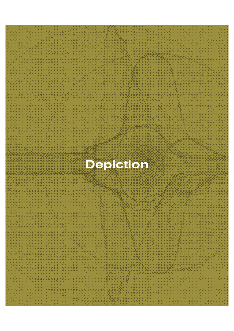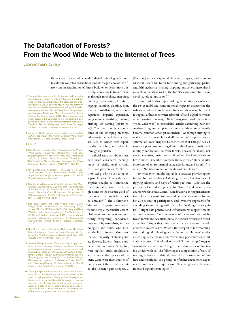## **The Datafication of Forests? From the Wood Wide Web to the Internet of Trees**

Jonathan Gray

HOW CAN DATA and networked digital technologies be used to cultivate collective sensibilities towards the presence of trees?**<sup>1</sup>** How can the datafication of forests build on or depart from oth-

- **1** This question was prompted by correspondence with Bruno Latour in which he asked: "How can the web be used to enhance sensibilities to the presence of our fellow travellers (trees, bacteria, etc.)?" This line of inquiry was also inspired by discussions with Birgit Schneider, who gave a talk on "Talking Trees: Four Perspectives on Ecological Media and Media Ecologies" at King's College London in March 2019. Conversations with Rina Tsubaki at the European Forest Institute have also provided insights into recent developments in this area. Thanks to Bernard Geoghegan and Liliana Bounegru for their comments on various versions of the text.
- **2** James C. Scott, *Seeing Like a State: How Certain Schemes to Improve the Human Condition Have Failed* (New Haven, CT: Yale University Press, 1998), 11.
- **3** Ibid., 13.
- **4** See Thorunn Helgason et al., "Ploughing up the Wood-Wide Web?," *Nature* 394, (1998): 431; Robin Sen, "Budgeting for the Wood-Wide Web," *New Phytologist* 145, no. 2 (2000): 161–3; Suzanne W. Simard et al., "Net Transfer of Carbon between Ectomycorrhizal Tree Species in the Field," *Nature* 388 (1997): 579–82.
- **5** UN Environment Assembly, "The Case for a Digi-tal Ecosystem for the Environment," March 2019, https://un-spbf.org/wp-content/uploads/2019/03/ Digital-Ecosystem-final-2.pdf.
- **6** See Bruno Latour, *Down to Earth: Politics in the New Climatic Regime*, trans. Catherine Porter (Cambridge: Polity Press, 2018); Timothy M. Lenton and Bruno Latour, "Gaia 2.0: Could Humans Add Some Level of Self-Awareness to Earth's Self-Regulation?" *Science* 361, no. 6407 (2018): 1066–8.
- **7** See Bruno Latour and Peter Weibel, eds., *Making Things Public: Atmospheres of Democracy* (Cambridge, MA: The MIT Press, 2005); Celia Lury and Nina Wakeford, eds., *Inventive Methods: The Happening of the Social* (London: Routledge, 2012); Noortje Marres, *Material Participation: Technology, the Environment and Everyday Publics* (London: Palgrave Macmillan, 2012).
- **8** See Bruno Latour, "Circulating Reference: Sampling Soil in the Amazon Forest," in *Pandora's Hope: An Essay on the Reality of Science Studies* (Cambridge, MA: Harvard University Press, 1999), 24–79.
- **9** Jennifer Gabrys's work offers a rich set of perspectives on forest sensing practices, including "Sensing an Experimental Forest: Processing Environments and Distributing Relations," *Computational Culture* 2 (September 2012); *Program Earth: Environmental Sensing Technology and the Making of a Computational Planet* (Minneapolis: University of Minnesota Press, 2016); and "Becoming Planetary," in *Accumulation*, ed. Daniel Barber, *e-flux Architecture* (October 2, 2018).
- **10** These prompts are intended to be illustrative and cerot comprehensive or mutually exclusive. In the spirit of Wittgenstein's *Philosophical Investigations* the aim is to show that data, like language, do not do only one type of thing. This is not to imply a metalan-guage of practices, but is rather intended as an encouragement to "take a wider look around" at how relations with trees are organized with and through data.

er ways of relating to trees, whether through mythology, mapping, camping, conservation, literature, logging, painting, planting, film, food, art installations, activist occupations, imperial expansion, indigenous stewardship, botany, birthing, or bathing (*shinrin-yoku*)? This piece briefly explores some of the emerging practices, infrastructures, and devices that are used to render trees experiencable, sensible, and relatable through digital data.

Official statistics about trees have been considered paradigmatic of institutional myopia. For example, James C. Scott's 1998 *Seeing Like a State* contains a parable about how states and empires sought to summarize their interest in forests to "a single number: the revenue yield of the timber that might be extracted annually."**<sup>2</sup>** The utilitarian's "abstract tree" quantifying wood volume was a spectacular accomplishment insofar as it omitted "nearly everything" considered important by naturalists, anthropologists, and others who studied the life of forests: "Gone was the vast majority of flora: grasses, flowers, lichens, ferns, mosses, shrubs, and vines. Gone, too, were reptiles, birds, amphibians, and innumerable species of insects. Gone were most species of fauna, except those that interested the Crown's gamekeepers. … [The state] typically ignored the vast, complex, and negotiated social uses of the forest for hunting and gathering, pasturage, fishing, charcoal making, trapping, and collecting food and valuable minerals as well as the forest's significance for magic, worship, refuge, and so on."**<sup>3</sup>**

In contrast to this impoverishing datafication, scientists in the 1990s mobilized computational tropes to characterize the rich social interactions between trees and their neighbors and to suggest affinities between arboreal life and digital networks of information exchange. *Nature* magazine used the notion "Wood Wide Web" to editorialize articles examining how mycorrhizal fungi connect plants, a phrase which has subsequently become common amongst researchers.**<sup>4</sup>**As though striving to materialize this metaphorical affinity, recent proposals for an "Internet of Trees," inspired by the "Internet of Things," has led to several pilot projects using digital technologies to enable and multiply connections between forests, devices, databases, networks, scientists, institutions, and publics. The United Nations Environment Assembly has made the case for a "global digital ecosystem of environmental data, algorithms, and insights" in order to "build awareness of the state of our planet."**<sup>5</sup>**

To what extent might digital data practices provide opportunities for not just feats of shortsightedness, but also for multiplying relations and ways of relating to trees? What are the prospects of such developments for Gaia 2.0 and collective encounters with Critical Zones?**<sup>6</sup>**Can data serve as not just a means to accelerate the marketization and bureaucratization of forests, but also as sites of participatory and inventive approaches for attending to and living with them, for "making forests public"?**<sup>7</sup>** Might data practices and infrastructures support "chains of transformations" and "sequences of mediators" not just between forests and scientists, but also between forests and broader publics?**<sup>8</sup>** Might they surface other perspectives on the role of trees in collective life? What is the prospect of incorporating data and digital technologies into "more than human" modes of sensing, sense-making and "becoming planetary," as Jennifer Gabrys puts it?**<sup>9</sup>** While advocates of "forest therapy" suggest 'leaving devices at home," might there also be a case for taking devices with us? The following is a compendium of ways of relating to trees with data, illustrated with various recent projects and techniques, as a prompt for further encounters, experiments, and collective inquiries into the entanglements between trees and digital technologies.**<sup>10</sup>**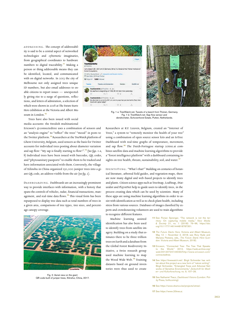ADDRESSING. The concept of addressability is said to be a central aspect of networked technologies and cybernetic imaginaries, from geographical coordinates to hardware numbers to digital traceability.**<sup>11</sup>** Making a person or thing addressable means they can be identified, located, and communicated with on digital networks. In 2013 the city of Melbourne not only assigned trees unique ID numbers, but also email addresses to enable citizens to report issues — unexpectedly giving rise to a surge of questions, reflections, and letters of admiration, a selection of which were shown in 2018 at *The Future Starts Here* exhibition at the Victoria and Albert Museum in London.**<sup>12</sup>**

Lam a beach (B + 241 cm) in Germany (Britz) in a forest of the Thüren Institute of utviznieni (d.<br>1201 bol Tu **Milanon**, 1868 False bo do mando in programme al moltosa uM Wandelski (FTV, Joltz - G. Jon.)<br>Gemme is currently DKP cat and my was here)<br>It will i grow today?  $n<sub>1</sub>$ 



Fig. 1 a: TreeWatch.net. Tweets of a beech from Thünen, Germany. Fig. 1 b: TreeWatch.net. Sap flow sensor and dendrometer, Schovenhorst Estate, Putten, Netherlands.

Trees have also been issued with social media accounts: the Swedish multinational

Ericsson's @connectedtree uses a combination of sensors and an "analysis engine" to "reflect" the trees' "mood" in posts to the Twitter platform.**<sup>13</sup>**Researchers at the *TreeWatch* platform of Ghent University, Belgium, used sensors as the basis for Twitter accounts for individual trees posting about diameter variation and sap flow: "My sap is finally starting to flow!".<sup>14</sup> (See figs. 1 a, *b)* Individual trees have been issued with barcodes, QR codes, and "phytosanitary passports" to enable them to be tracked and have information associated with them. Conversely, the village of Xilinshu in China organized 130,000 juniper trees into a giant QR code, an address visible from the air *(see fig. 2)*.

DASHBOARDING. Dashboards are an increasingly prominent way to provide interfaces with information, with a history that spans the controls of vehicles, radar, financial transactions, management, and real-time data flows.<sup>15</sup> This visual form has been repurposed to display tree data such as total numbers of trees in a given area, comparisons of tree types, tree sizes, and percentage canopy coverage.



Fig. 2: Aerial view on the giant QR code built of juniper trees, Xilinshui, China, 2017.

Researchers at KU Leuven, Belgium, created an "Internet of Trees," a system to "remotely monitor the health of your tree" using a combination of open source sensor kits and an IoTree Dashboard with real-time graphs of temperature, movement, and sap flow.<sup>16</sup> The Dutch-Portugese startup 20tree.ai combines satellite data and machine learning algorithms to provide a "forest intelligence platform" with a dashboard containing insights on tree health, threats, sustainability, soil, and water.**<sup>17</sup>**

IDENTIFYING. "What's that?" Building on centuries of botanical literature, arboreal field guides, and vegetation maps, there are now many digital and web-based projects to identify trees and plants. Citizen science apps such as TreeSnap, LeafSnap, iNaturalist and Pl@ntNet help to guide users to identify trees, in the process creating data which can be used by scientists. Many of these apps are using machine learning algorithms in order to assist with identification as well as to check plant health, including stress from various sources. Databases of images classified by experts and crowdsourcing volunteers are used to train algorithms to recognize different features.

Machine learning assisted identification has also been used to identify trees from satellite imagery. Building on a study that estimates there to be three trillion trees on Earth and a database from the Global Forest Biodiversity Initiative, a Swiss research group used machine learning to map the Wood Wide Web.**<sup>18</sup>** Training datasets based on ground inventories were thus used to create

- **11** See Florian Sprenger, "The network is not the territory: On capturing mobile media," *New Media & Society* 21, no. 1 (2018): 76–96, https://doi. org/10.1177/1461444818787351.
- **12** *The Future Starts Here*, Victoria and Albert Museum, May 12 — November 4, 2018; see Rory Hyde and Mariana Pestana, eds., *The Future Starts Here* (London: Victoria and Albert Museum, 2018).
- **13** Ericsson, "Connected Tree: The Tree That Speaks to the World," 2012, https://web.archive.org/ web/20120724144033/http://www.ericsson.com/ connectedtree.
- **14** See https://treewatch.net/. Birgit Schneider has written about this project as a new form of "nature writing": Birgit Schneider, "Entangled Trees and Arboreal Networks of Sensitive Environments," *Zeitschrift für Medien- und Kulturforschung*, no. 9, 107–26.
- **15** See Nathaniel Tkacz, *Dashboard Visions* (London: Polity Press, forthcoming).

**16** See https://www.dramco.be/projects/iotree/.

**17** See https://www.20tree.ai.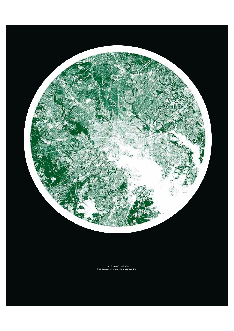

Fig. 3: Descartes Labs. Tree canopy layer around Baltimore Bay.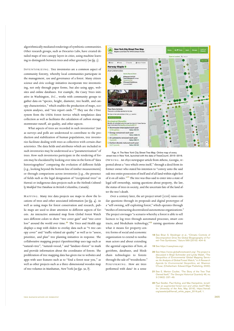algorithmically mediated renderings of symbiotic communities. Other research groups, such as Descartes Labs, have created detailed maps of tree canopy layers in cities, using machine learning to distinguish between trees and other greenery *(see fig. 3)*.

INVENTORIZING. Tree inventories are a common aspect of community forestry, whereby local communities participate in the management, use and governance of a forest. Many citizen science and civic ecology initiatives incorporate tree inventorising, not only through paper forms, but also using apps, websites and online databases. For example, the Casey Trees initiative in Washington, D.C., works with community groups to gather data on "species, height, diameter, tree health, and canopy characteristics," which enables the production of maps, ecosystem analyses, and "tree report cards."**<sup>19</sup>** They use the i-Tree system from the USDA Forest Service which templatizes data collection as well as facilitates the calculation of carbon storage, stormwater runoff, air quality, and other aspects.

What aspects of trees are recorded in such inventories? Just as surveys and polls are understood to contribute to the production and stabilization of human populations, tree inventories facilitate dealing with trees as collectives with certain characteristics. The data fields and attributes which are included in such inventories may be understood as a "parameterization" of trees. How such inventories participate in the rendering of forests may be elucidated by looking over time in the form of "data historiographies" comparing the evolution of different fields (e.g., looking beyond the bottom line of timber measurements) or through comparisons across inventories (e.g., the presence of fields such as the legal designation of "exceptional trees" in Hawaii or indigenous data projects such as the *Heiltsuk Culturally Modi*!*ed Tree Database* in British Columbia, Canada).

MAPPING. Many tree data projects use maps to show the locations of trees and other associated information *(see fig. 4)*. As well as using maps for forest conservation and research, public maps are used to draw attention to different aspects of forests. An interactive animated map from Global Forest Watch uses different colors to show "tree cover gain" and "tree cover loss" around the world over time.**<sup>20</sup>** The Trees and Health app displays a map with sliders to overlay data such as "% tree canopy cover" and "traffic-related air quality" as well as to "assess, prioritize, and plan" tree planting initiatives in response. The collaborative mapping project OpenStreetMap uses tags such as "natural=tree", "natural=wood," and "landuse=forest" to mark and provide information about the coordinates of forests. The proliferation of tree mapping data has given rise to websites and apps with user features such as to "find a forest near you," as well as other projects such as a three-dimensional wooden map of tree volumes in Manhattan, New York *(see figs. 5a, b)*.



OWNING. An 1890 newspaper article from Athens, Georgia, reported about a "tree which owns itself," through a deed from its former owner who stated his intention to "convey unto the said oak tree entire possession of itself and of all land within eight feet of it on all sides."**<sup>21</sup>** The tree was thus said to enter into a state of legal self-ownership, raising questions about property, the law, the status of trees in society, and the uncertain fate of the land after the tree's death. Figs. 4: The New York City Street Tree Map. Online map of every street tree in New York, launched with the data of TreesCount!, 2015–2016.

Over a century later, the art project *terra*0 (2016) raises similar questions through its proposals and digital prototypes of a "self-owning, self-exploiting forest," which operates through "meshes of interacting decentralized autonomous organizations." The project envisages "a scenario whereby a forest is able to sell licences to log trees through automated processes, smart contracts, and blockchain technology,"**<sup>22</sup>** raising questions about

what it means for property-centric forms of social and economic organization to extend to nonhuman actors and about extending the agential capacities of bots, algorithms, databases, and blockchain technologies to forests through the sale of "woodtokens." PERFORMING. How are trees performed with data? In a sense

## **18** See Brian S. Steidinger et al., "Climatic Controls of Decomposition Drive the Global Biogeography of Forest–Tree Symbioses," *Nature* 569 (2019): 404–8.

**19** See https://caseytrees.org/.

- **20** See https://www.globalforestwatch.org/. The project is discussed in Birgit Schneider and Lynda Walsh, "The Geopolitics of Environmental Global Mapping Servic-es: An Analysis of Global Forest Watch," in *A Research Agenda for Environmental Geopolitics, ed. Shannon* O'Lear, (Cheltenham: Edward Elgar Publishing, 2020).
- **21** See E. Merton Coulter, "The Story of the Tree That Owned Itself," *The Georgia Historical Quarterly* 46, no. 3 (1962): 237–49.
- **22** Paul Seidler, Paul Koling, and Max Hampshire, *terra0: Can an augmented forest own and utilise itself?* (Berlin: University of the Arts, May 2016), https://terra0. org/assets/pdf/terra0\_white\_paper\_2016.pdf, 1.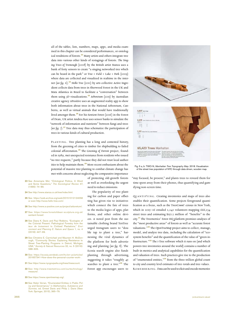all of the tables, lists, numbers, maps, apps, and media examined in this chapter can be considered performances, or ontological renditions of forests.**<sup>23</sup>** Many artists and others integrate tree data into various other kinds of restagings of forests. *The Singing Trees of Tremough* (2008) by the British artist Stanza uses a bank of forty sensors to create "a singing networked tree which can be heard in the park" or *Tree + Field + Lake + Park* (2009) where data are collected and visualized in realtime in the internet *(see fig. 6)*.<sup>24</sup> *Hello Tree (2011) by arts collective Active Ingre*dient collects data from trees in Sherwood Forest in the UK and Mata Atlantica in Brazil to facilitate a "conversation" between them using 3D visualizations.**<sup>25</sup>***Arboretum* (2015) by Australian creative agency APositive uses an augmented reality app to show both information about trees in the National Arboretum, Canberra, as well as virtual animals that would have traditionally lived amongst them.**<sup>26</sup>**For his *Sentient Forest* (2016) in the Forest of Dean, UK artist Andrea Roe uses sensor banks to simulate the "network of information and nutrients" between fungi and trees *(see* !*g. 7)*. **<sup>27</sup>**Tree data may thus schematize the participation of trees in various kinds of cultural production.

PLANTING. Tree planting has a long and contested history, from the greening of cities to timber for shipbuilding to failed colonial afforestation.<sup>28</sup> The *Greening of Detroit project*, founded in 1989, met unexpected resistance from residents who issued "no tree requests," partly because they did not trust local authorities to help maintain them.**<sup>29</sup>** More recent enthusiasm about the potential of massive tree planting to combat climate change has met with concerns about neglecting the comparative importance

- **23** See Annemarie Mol, "Ontological Politics. A Word and Some Questions," *The Sociological Review* 47, (1999): 74–89.
- **24** See http://www.stanza.co.uk/tree/index.html.
- **25** See https://web.archive.org/web/20151012124058 or even http://www.hello-tree.com/.
- **26** See http://www.a-positive.com.au/project/arboretum/.
- **27** See https://www.forestofdean-sculpture.org.uk/ sentient-forest/
- **28** See Diana K. Davis and Paul Robbins, "Ecologies of the Colonial Present: Pathological Forestry from the *taux de boisement* to Civilized Plantations," *Environment and Planning E: Nature and Space* 1, no. 4 (2018): 447–69.
- **29** See Christine E. Carmichael and Maureen H. McDonough, "Community Stories: Explaining Resistance to Street Tree-Planting Programs in Detroit, Michigan, USA," *Society & Natural Resources* 32, no. 5 (2019): 588–605.
- **30** See https://ecosia.zendesk.com/hc/en-us/articles/ 201657341-How-does-the-personal-counter-work-.
- **31** See https://www.nycgovparks.org/trees/treescount.
- **32** See http://www.treemetrics.com/ourtechnology/ measure/.
- **33** See https://www.opentreemap.org/.
- **34** See Helen Verran, "Enumerated Entities in Public Policy and Governance," in *Mathematics, Substance and Surmise*, ed. Ernest Davis and Philip J. Davis (New York: Springer, 2015), 365–79.

of protecting old-growth forests as well as overlooking the urgent need to reduce emissions.

The popularity of tree planting for carbon and paper offsetting has given rise to initiatives which connect the fate of trees to the media logics of apps, platforms, and other online devices. A noted post from the sustainable clothing brand TenTree urged Instagram users to "double tap to plant a tree," harnessing the viral dynamics of the platform for both advertising and planting *(see fig. 8)*. The Ecosia search engine also funds planting through advertising, suggesting it takes "roughly 45 searches to plant a tree."**<sup>30</sup>** The Forest app encourages users to



Fig. 5 a, b: TWO-N, *Manhattan Tree Topography Map*. 2018. Visualization of the street tree population of NYC through data driven, wooden map.

"stay focused, be present," and plants trees to reward them for time spent away from their phones, thus quantifying and gamifying non-screen time.

QUANTIFYING. Creating inventories and maps of trees also enables their quantification. Some projects foreground quantification as a focus, such as the *TreesCount!* census in New York, which in 2015–16 entailed 2,241 volunteers mapping 666,134 street trees and estimating \$151.2 million of "benefits" to the city.**<sup>31</sup>**The Treemetrics' *Forest HQ* platform promises analyses of the "most productive areas" of forests as well as "accurate forest valuations."**<sup>32</sup>** The *OpenTreeMap* project aims to collect, manage, model, and analyze tree data, including the calculation of "ecosystem benefits" and the quantification of the value of "green infrastructure."**<sup>33</sup>** The i-Tree software which it runs on (and which powers tree inventories around the world) contains a number of built-in metrics and analytical capabilities for the quantification and valuation of trees. Such practices give rise to the production of "enumerated entities,"**<sup>34</sup>** from the three trillion global count to city and country level estimates of tree-totals and tree-values. REMEMBERING. Data can be used to elicit and encode memories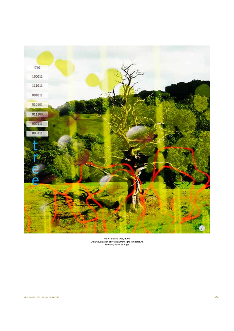

Fig. 6: Stanza, *Tree*, 2009. Data visualization of live data from light, temperature, humidity, noise, and gps.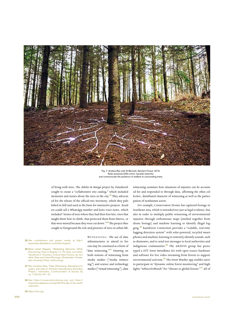

Fig. 7: Andrea Roe with Al Bennett, Sentient Forest, 2016. Solar powered LEDs mimic mycelial networks and communicate the presence of walkers to surrounding trees.

of living with trees. The Á*rboles de Botogá* project by Datasketch sought to create a "collaborative tree catalog," which included memories and stories about the trees in the city.**35** They advocated for the release of the official tree inventory, which they published in full and used as the basis for interactive projects. Readers could call a WhatsApp number and leave voice notes, which included "stories of trees where they had their first kiss, trees that taught them how to climb, that protected them from thieves, or that were missed because they were cut down."**<sup>36</sup>** The project thus sought to foreground the role and presence of trees in urban life.

- **35** See contributions and project results at http:// especiales.datasketch.co/arboles-bogota/.
- **36** Maria Isabel Magaña, "Multiplying Memories While Discovering Trees in Bogota," in *The Data Journalism Handbook 2: Towards a Critical Data Practice*, ed. Jonathan Gray and Liliana Bounegru (Amsterdam: Amster-dam University Press, forthcoming)
- **37** See Jonathan Gray, "Data Witnessing: Attending to In-justice with Data in Amnesty International's Decoders Project," *Information, Communication & Society* 22, no. 7 (2019): 971–91.
- **38** See https://conservationdrones.org/ and https:// interactive.aljazeera.com/aje/2016/lungs-of-the-earth/ index.html.
- **39** https://rfcx.org/.

WITNESSING. The use of data infrastructures to attend to forests may be construed as a form of "data witnessing."**<sup>37</sup>** Drawing on both notions of witnessing from media studies ("media witnessing") and science and technology studies ("virtual witnessing"), data

witnessing examines how situations of injustice can be accounted for and responded to through data, affirming the often collective, distributed character of witnessing as well as the participation of nonhuman actors.

For example, Conservation Drones has captured footage in Southeast Asia, which is intended not just as legal evidence, but also in order to multiply public witnessing of environmental injustice through orthomosaic maps (stitched together from drone footage) and machine learning to identify illegal logging.**<sup>38</sup>** Rainforest Connection provides a "scalable, real-time logging detection system" with solar-powered, recycled smartphones and machine-learning to remotely identify sounds, such as chainsaws, and to send text messages to local authorities and indigenous communities.**39** The ARTiVIS group has prototyped a DIY Forest Surveillance Kit with open source hardware and software for live video streaming from forests to support environmental activism.**<sup>40</sup>** The *Forest Watcher* app enables users to participate in "dynamic online forest monitoring" and highlights "#PlacesToWatch" for "threats to global forests."**<sup>41</sup>** All of